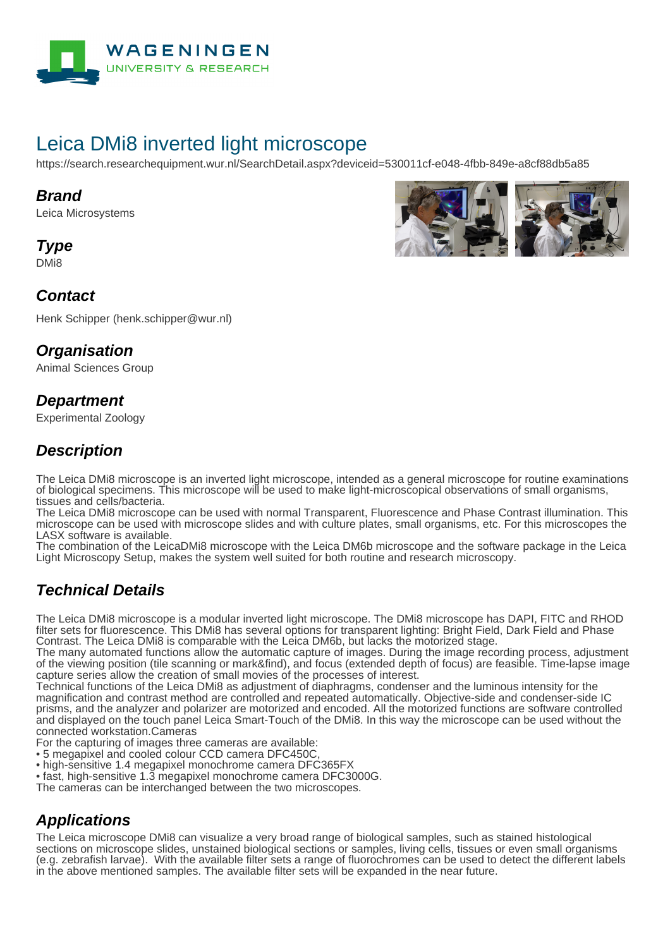

# Leica DMi8 inverted light microscope

https://search.researchequipment.wur.nl/SearchDetail.aspx?deviceid=530011cf-e048-4fbb-849e-a8cf88db5a85

#### **Brand**

Leica Microsystems

**Type**

DMi8

# **Contact**

Henk Schipper (henk.schipper@wur.nl)

### **Organisation**

Animal Sciences Group

## **Department**

Experimental Zoology

## **Description**

The Leica DMi8 microscope is an inverted light microscope, intended as a general microscope for routine examinations of biological specimens. This microscope will be used to make light-microscopical observations of small organisms, tissues and cells/bacteria.

The Leica DMi8 microscope can be used with normal Transparent, Fluorescence and Phase Contrast illumination. This microscope can be used with microscope slides and with culture plates, small organisms, etc. For this microscopes the LASX software is available.

The combination of the LeicaDMi8 microscope with the Leica DM6b microscope and the software package in the Leica Light Microscopy Setup, makes the system well suited for both routine and research microscopy.

# **Technical Details**

The Leica DMi8 microscope is a modular inverted light microscope. The DMi8 microscope has DAPI, FITC and RHOD filter sets for fluorescence. This DMi8 has several options for transparent lighting: Bright Field, Dark Field and Phase Contrast. The Leica DMi8 is comparable with the Leica DM6b, but lacks the motorized stage.

The many automated functions allow the automatic capture of images. During the image recording process, adjustment of the viewing position (tile scanning or mark&find), and focus (extended depth of focus) are feasible. Time-lapse image capture series allow the creation of small movies of the processes of interest.

Technical functions of the Leica DMi8 as adjustment of diaphragms, condenser and the luminous intensity for the magnification and contrast method are controlled and repeated automatically. Objective-side and condenser-side IC prisms, and the analyzer and polarizer are motorized and encoded. All the motorized functions are software controlled and displayed on the touch panel Leica Smart-Touch of the DMi8. In this way the microscope can be used without the connected workstation.Cameras

For the capturing of images three cameras are available:

- 5 megapixel and cooled colour CCD camera DFC450C,
- high-sensitive 1.4 megapixel monochrome camera DFC365FX
- fast, high-sensitive 1.3 megapixel monochrome camera DFC3000G.

The cameras can be interchanged between the two microscopes.

# **Applications**

The Leica microscope DMi8 can visualize a very broad range of biological samples, such as stained histological sections on microscope slides, unstained biological sections or samples, living cells, tissues or even small organisms (e.g. zebrafish larvae). With the available filter sets a range of fluorochromes can be used to detect the different labels in the above mentioned samples. The available filter sets will be expanded in the near future.